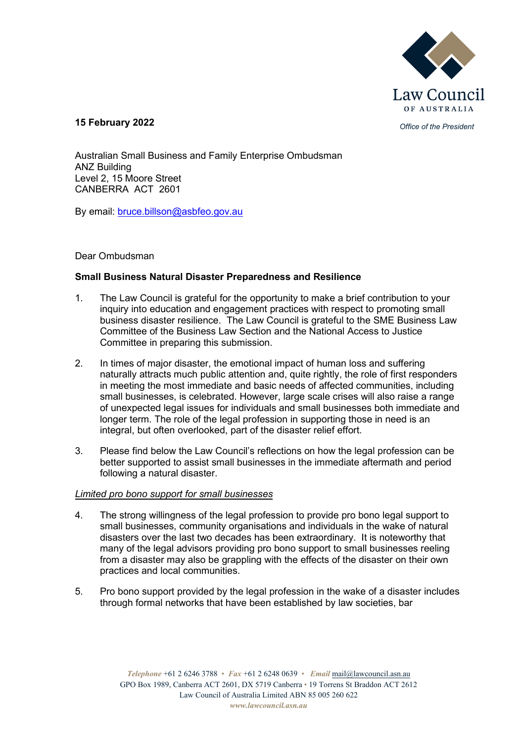

*Office of the President* **15 February 2022**

Australian Small Business and Family Enterprise Ombudsman ANZ Building Level 2, 15 Moore Street CANBERRA ACT 2601

By email: [bruce.billson@asbfeo.gov.au](mailto:bruce.billson@asbfeo.gov.au)

# Dear Ombudsman

# **Small Business Natural Disaster Preparedness and Resilience**

- 1. The Law Council is grateful for the opportunity to make a brief contribution to your inquiry into education and engagement practices with respect to promoting small business disaster resilience. The Law Council is grateful to the SME Business Law Committee of the Business Law Section and the National Access to Justice Committee in preparing this submission.
- 2. In times of major disaster, the emotional impact of human loss and suffering naturally attracts much public attention and, quite rightly, the role of first responders in meeting the most immediate and basic needs of affected communities, including small businesses, is celebrated. However, large scale crises will also raise a range of unexpected legal issues for individuals and small businesses both immediate and longer term. The role of the legal profession in supporting those in need is an integral, but often overlooked, part of the disaster relief effort.
- 3. Please find below the Law Council's reflections on how the legal profession can be better supported to assist small businesses in the immediate aftermath and period following a natural disaster.

## *Limited pro bono support for small businesses*

- 4. The strong willingness of the legal profession to provide pro bono legal support to small businesses, community organisations and individuals in the wake of natural disasters over the last two decades has been extraordinary. It is noteworthy that many of the legal advisors providing pro bono support to small businesses reeling from a disaster may also be grappling with the effects of the disaster on their own practices and local communities.
- 5. Pro bono support provided by the legal profession in the wake of a disaster includes through formal networks that have been established by law societies, bar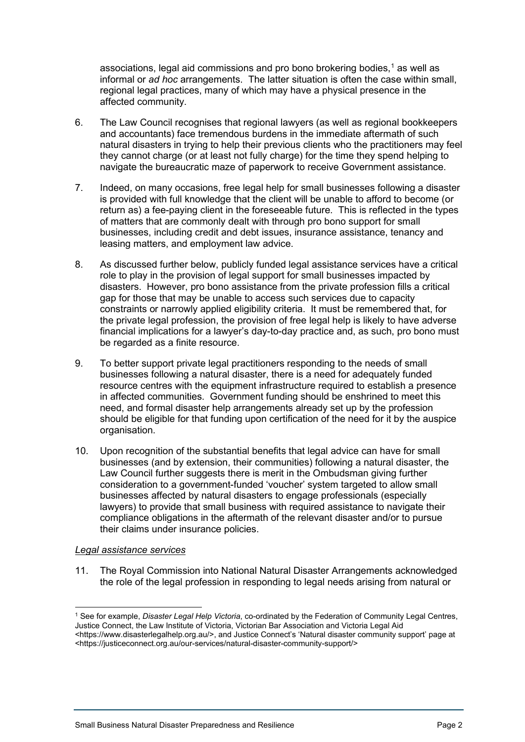associations, legal aid commissions and pro bono brokering bodies, $<sup>1</sup>$  $<sup>1</sup>$  $<sup>1</sup>$  as well as</sup> informal or *ad hoc* arrangements. The latter situation is often the case within small, regional legal practices, many of which may have a physical presence in the affected community.

- 6. The Law Council recognises that regional lawyers (as well as regional bookkeepers and accountants) face tremendous burdens in the immediate aftermath of such natural disasters in trying to help their previous clients who the practitioners may feel they cannot charge (or at least not fully charge) for the time they spend helping to navigate the bureaucratic maze of paperwork to receive Government assistance.
- 7. Indeed, on many occasions, free legal help for small businesses following a disaster is provided with full knowledge that the client will be unable to afford to become (or return as) a fee-paying client in the foreseeable future. This is reflected in the types of matters that are commonly dealt with through pro bono support for small businesses, including credit and debt issues, insurance assistance, tenancy and leasing matters, and employment law advice.
- 8. As discussed further below, publicly funded legal assistance services have a critical role to play in the provision of legal support for small businesses impacted by disasters. However, pro bono assistance from the private profession fills a critical gap for those that may be unable to access such services due to capacity constraints or narrowly applied eligibility criteria. It must be remembered that, for the private legal profession, the provision of free legal help is likely to have adverse financial implications for a lawyer's day-to-day practice and, as such, pro bono must be regarded as a finite resource.
- 9. To better support private legal practitioners responding to the needs of small businesses following a natural disaster, there is a need for adequately funded resource centres with the equipment infrastructure required to establish a presence in affected communities. Government funding should be enshrined to meet this need, and formal disaster help arrangements already set up by the profession should be eligible for that funding upon certification of the need for it by the auspice organisation.
- 10. Upon recognition of the substantial benefits that legal advice can have for small businesses (and by extension, their communities) following a natural disaster, the Law Council further suggests there is merit in the Ombudsman giving further consideration to a government-funded 'voucher' system targeted to allow small businesses affected by natural disasters to engage professionals (especially lawyers) to provide that small business with required assistance to navigate their compliance obligations in the aftermath of the relevant disaster and/or to pursue their claims under insurance policies.

## *Legal assistance services*

11. The Royal Commission into National Natural Disaster Arrangements acknowledged the role of the legal profession in responding to legal needs arising from natural or

<span id="page-1-0"></span><sup>1</sup> See for example, *Disaster Legal Help Victoria*, co-ordinated by the Federation of Community Legal Centres, Justice Connect, the Law Institute of Victoria, Victorian Bar Association and Victoria Legal Aid

<sup>&</sup>lt;https://www.disasterlegalhelp.org.au/>, and Justice Connect's 'Natural disaster community support' page at <https://justiceconnect.org.au/our-services/natural-disaster-community-support/>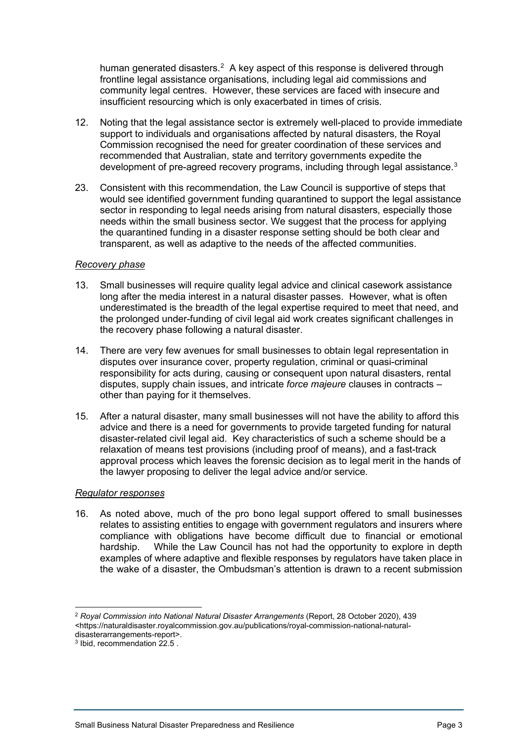human generated disasters.<sup>[2](#page-2-0)</sup> A key aspect of this response is delivered through frontline legal assistance organisations, including legal aid commissions and community legal centres. However, these services are faced with insecure and insufficient resourcing which is only exacerbated in times of crisis.

- 12. Noting that the legal assistance sector is extremely well-placed to provide immediate support to individuals and organisations affected by natural disasters, the Royal Commission recognised the need for greater coordination of these services and recommended that Australian, state and territory governments expedite the development of pre-agreed recovery programs, including through legal assistance. $^3$  $^3$
- 23. Consistent with this recommendation, the Law Council is supportive of steps that would see identified government funding quarantined to support the legal assistance sector in responding to legal needs arising from natural disasters, especially those needs within the small business sector. We suggest that the process for applying the quarantined funding in a disaster response setting should be both clear and transparent, as well as adaptive to the needs of the affected communities.

#### *Recovery phase*

- 13. Small businesses will require quality legal advice and clinical casework assistance long after the media interest in a natural disaster passes. However, what is often underestimated is the breadth of the legal expertise required to meet that need, and the prolonged under-funding of civil legal aid work creates significant challenges in the recovery phase following a natural disaster.
- 14. There are very few avenues for small businesses to obtain legal representation in disputes over insurance cover, property regulation, criminal or quasi-criminal responsibility for acts during, causing or consequent upon natural disasters, rental disputes, supply chain issues, and intricate *force majeure* clauses in contracts – other than paying for it themselves.
- 15. After a natural disaster, many small businesses will not have the ability to afford this advice and there is a need for governments to provide targeted funding for natural disaster-related civil legal aid. Key characteristics of such a scheme should be a relaxation of means test provisions (including proof of means), and a fast-track approval process which leaves the forensic decision as to legal merit in the hands of the lawyer proposing to deliver the legal advice and/or service.

## *Regulator responses*

16. As noted above, much of the pro bono legal support offered to small businesses relates to assisting entities to engage with government regulators and insurers where compliance with obligations have become difficult due to financial or emotional hardship. While the Law Council has not had the opportunity to explore in depth examples of where adaptive and flexible responses by regulators have taken place in the wake of a disaster, the Ombudsman's attention is drawn to a recent submission

<span id="page-2-0"></span><sup>2</sup> *Royal Commission into National Natural Disaster Arrangements* (Report, 28 October 2020), 439 <https://naturaldisaster.royalcommission.gov.au/publications/royal-commission-national-naturaldisasterarrangements-report>.

<span id="page-2-1"></span> $3$  Ibid, recommendation  $22.5$ .